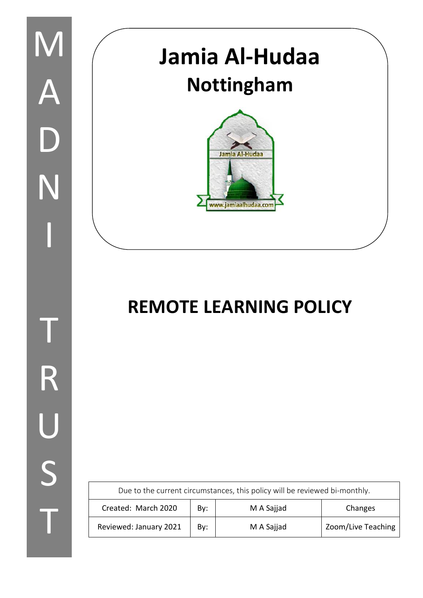

# **REMOTE LEARNING POLICY**

| Due to the current circumstances, this policy will be reviewed bi-monthly. |     |            |                    |
|----------------------------------------------------------------------------|-----|------------|--------------------|
| Created: March 2020                                                        | By: | M A Sajjad | Changes            |
| Reviewed: January 2021                                                     | By: | M A Sajjad | Zoom/Live Teaching |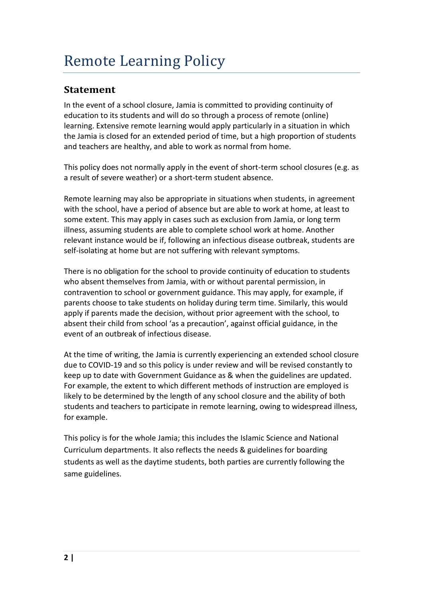# **Statement**

In the event of a school closure, Jamia is committed to providing continuity of education to its students and will do so through a process of remote (online) learning. Extensive remote learning would apply particularly in a situation in which the Jamia is closed for an extended period of time, but a high proportion of students and teachers are healthy, and able to work as normal from home.

This policy does not normally apply in the event of short-term school closures (e.g. as a result of severe weather) or a short-term student absence.

Remote learning may also be appropriate in situations when students, in agreement with the school, have a period of absence but are able to work at home, at least to some extent. This may apply in cases such as exclusion from Jamia, or long term illness, assuming students are able to complete school work at home. Another relevant instance would be if, following an infectious disease outbreak, students are self-isolating at home but are not suffering with relevant symptoms.

There is no obligation for the school to provide continuity of education to students who absent themselves from Jamia, with or without parental permission, in contravention to school or government guidance. This may apply, for example, if parents choose to take students on holiday during term time. Similarly, this would apply if parents made the decision, without prior agreement with the school, to absent their child from school 'as a precaution', against official guidance, in the event of an outbreak of infectious disease.

At the time of writing, the Jamia is currently experiencing an extended school closure due to COVID-19 and so this policy is under review and will be revised constantly to keep up to date with Government Guidance as & when the guidelines are updated. For example, the extent to which different methods of instruction are employed is likely to be determined by the length of any school closure and the ability of both students and teachers to participate in remote learning, owing to widespread illness, for example.

This policy is for the whole Jamia; this includes the Islamic Science and National Curriculum departments. It also reflects the needs & guidelines for boarding students as well as the daytime students, both parties are currently following the same guidelines.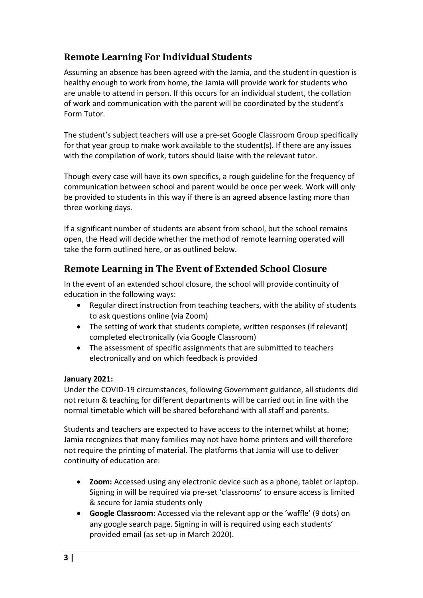# **Remote Learning For Individual Students**

Assuming an absence has been agreed with the Jamia, and the student in question is healthy enough to work from home, the Jamia will provide work for students who are unable to attend in person. If this occurs for an individual student, the collation of work and communication with the parent will be coordinated by the student's Form Tutor.

The student's subject teachers will use a pre-set Google Classroom Group specifically for that year group to make work available to the student(s). If there are any issues with the compilation of work, tutors should liaise with the relevant tutor.

Though every case will have its own specifics, a rough guideline for the frequency of communication between school and parent would be once per week. Work will only be provided to students in this way if there is an agreed absence lasting more than three working days.

If a significant number of students are absent from school, but the school remains open, the Head will decide whether the method of remote learning operated will take the form outlined here, or as outlined below.

# **Remote Learning in The Event of Extended School Closure**

In the event of an extended school closure, the school will provide continuity of education in the following ways:

- Regular direct instruction from teaching teachers, with the ability of students to ask questions online (via Zoom)
- The setting of work that students complete, written responses (if relevant) completed electronically (via Google Classroom)
- The assessment of specific assignments that are submitted to teachers electronically and on which feedback is provided

#### **January 2021:**

Under the COVID-19 circumstances, following Government guidance, all students did not return & teaching for different departments will be carried out in line with the normal timetable which will be shared beforehand with all staff and parents.

Students and teachers are expected to have access to the internet whilst at home; Jamia recognizes that many families may not have home printers and will therefore not require the printing of material. The platforms that Jamia will use to deliver continuity of education are:

- **Zoom:** Accessed using any electronic device such as a phone, tablet or laptop. Signing in will be required via pre-set 'classrooms' to ensure access is limited & secure for Jamia students only
- **Google Classroom:** Accessed via the relevant app or the 'waffle' (9 dots) on any google search page. Signing in will is required using each students' provided email (as set-up in March 2020).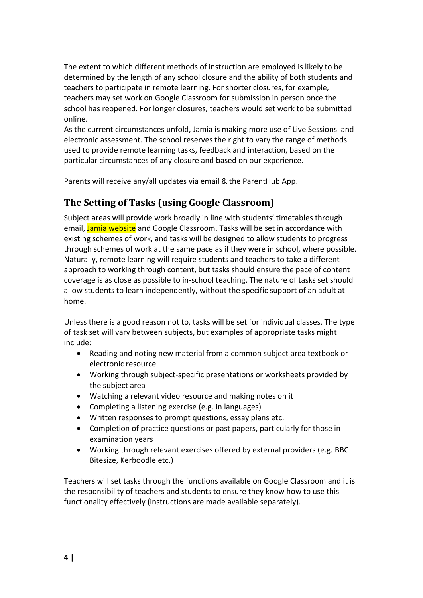The extent to which different methods of instruction are employed is likely to be determined by the length of any school closure and the ability of both students and teachers to participate in remote learning. For shorter closures, for example, teachers may set work on Google Classroom for submission in person once the school has reopened. For longer closures, teachers would set work to be submitted online.

As the current circumstances unfold, Jamia is making more use of Live Sessions and electronic assessment. The school reserves the right to vary the range of methods used to provide remote learning tasks, feedback and interaction, based on the particular circumstances of any closure and based on our experience.

Parents will receive any/all updates via email & the ParentHub App.

## **The Setting of Tasks (using Google Classroom)**

Subject areas will provide work broadly in line with students' timetables through email, Jamia website and Google Classroom. Tasks will be set in accordance with existing schemes of work, and tasks will be designed to allow students to progress through schemes of work at the same pace as if they were in school, where possible. Naturally, remote learning will require students and teachers to take a different approach to working through content, but tasks should ensure the pace of content coverage is as close as possible to in-school teaching. The nature of tasks set should allow students to learn independently, without the specific support of an adult at home.

Unless there is a good reason not to, tasks will be set for individual classes. The type of task set will vary between subjects, but examples of appropriate tasks might include:

- Reading and noting new material from a common subject area textbook or electronic resource
- Working through subject-specific presentations or worksheets provided by the subject area
- Watching a relevant video resource and making notes on it
- Completing a listening exercise (e.g. in languages)
- Written responses to prompt questions, essay plans etc.
- Completion of practice questions or past papers, particularly for those in examination years
- Working through relevant exercises offered by external providers (e.g. BBC Bitesize, Kerboodle etc.)

Teachers will set tasks through the functions available on Google Classroom and it is the responsibility of teachers and students to ensure they know how to use this functionality effectively (instructions are made available separately).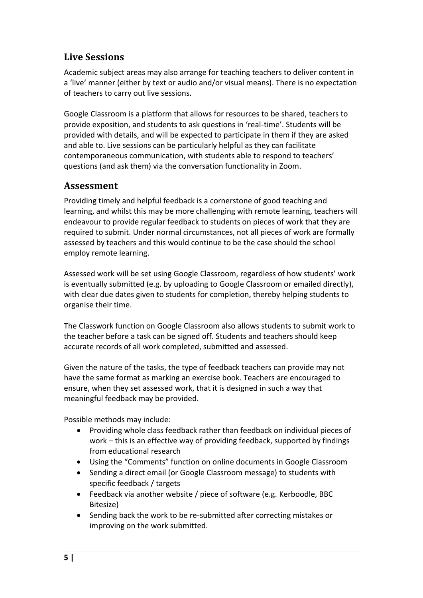# **Live Sessions**

Academic subject areas may also arrange for teaching teachers to deliver content in a 'live' manner (either by text or audio and/or visual means). There is no expectation of teachers to carry out live sessions.

Google Classroom is a platform that allows for resources to be shared, teachers to provide exposition, and students to ask questions in 'real-time'. Students will be provided with details, and will be expected to participate in them if they are asked and able to. Live sessions can be particularly helpful as they can facilitate contemporaneous communication, with students able to respond to teachers' questions (and ask them) via the conversation functionality in Zoom.

#### **Assessment**

Providing timely and helpful feedback is a cornerstone of good teaching and learning, and whilst this may be more challenging with remote learning, teachers will endeavour to provide regular feedback to students on pieces of work that they are required to submit. Under normal circumstances, not all pieces of work are formally assessed by teachers and this would continue to be the case should the school employ remote learning.

Assessed work will be set using Google Classroom, regardless of how students' work is eventually submitted (e.g. by uploading to Google Classroom or emailed directly), with clear due dates given to students for completion, thereby helping students to organise their time.

The Classwork function on Google Classroom also allows students to submit work to the teacher before a task can be signed off. Students and teachers should keep accurate records of all work completed, submitted and assessed.

Given the nature of the tasks, the type of feedback teachers can provide may not have the same format as marking an exercise book. Teachers are encouraged to ensure, when they set assessed work, that it is designed in such a way that meaningful feedback may be provided.

Possible methods may include:

- Providing whole class feedback rather than feedback on individual pieces of work – this is an effective way of providing feedback, supported by findings from educational research
- Using the "Comments" function on online documents in Google Classroom
- Sending a direct email (or Google Classroom message) to students with specific feedback / targets
- Feedback via another website / piece of software (e.g. Kerboodle, BBC Bitesize)
- Sending back the work to be re-submitted after correcting mistakes or improving on the work submitted.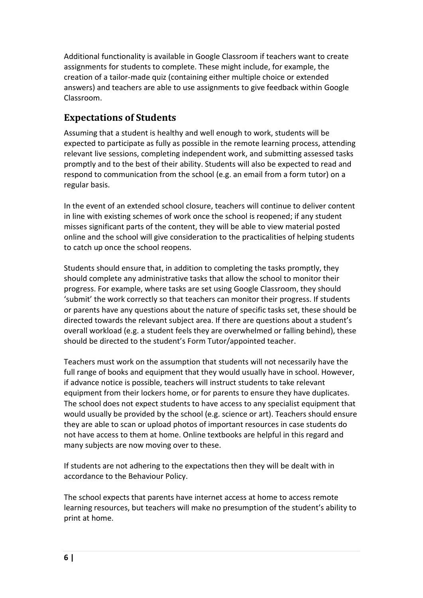Additional functionality is available in Google Classroom if teachers want to create assignments for students to complete. These might include, for example, the creation of a tailor-made quiz (containing either multiple choice or extended answers) and teachers are able to use assignments to give feedback within Google Classroom.

## **Expectations of Students**

Assuming that a student is healthy and well enough to work, students will be expected to participate as fully as possible in the remote learning process, attending relevant live sessions, completing independent work, and submitting assessed tasks promptly and to the best of their ability. Students will also be expected to read and respond to communication from the school (e.g. an email from a form tutor) on a regular basis.

In the event of an extended school closure, teachers will continue to deliver content in line with existing schemes of work once the school is reopened; if any student misses significant parts of the content, they will be able to view material posted online and the school will give consideration to the practicalities of helping students to catch up once the school reopens.

Students should ensure that, in addition to completing the tasks promptly, they should complete any administrative tasks that allow the school to monitor their progress. For example, where tasks are set using Google Classroom, they should 'submit' the work correctly so that teachers can monitor their progress. If students or parents have any questions about the nature of specific tasks set, these should be directed towards the relevant subject area. If there are questions about a student's overall workload (e.g. a student feels they are overwhelmed or falling behind), these should be directed to the student's Form Tutor/appointed teacher.

Teachers must work on the assumption that students will not necessarily have the full range of books and equipment that they would usually have in school. However, if advance notice is possible, teachers will instruct students to take relevant equipment from their lockers home, or for parents to ensure they have duplicates. The school does not expect students to have access to any specialist equipment that would usually be provided by the school (e.g. science or art). Teachers should ensure they are able to scan or upload photos of important resources in case students do not have access to them at home. Online textbooks are helpful in this regard and many subjects are now moving over to these.

If students are not adhering to the expectations then they will be dealt with in accordance to the Behaviour Policy.

The school expects that parents have internet access at home to access remote learning resources, but teachers will make no presumption of the student's ability to print at home.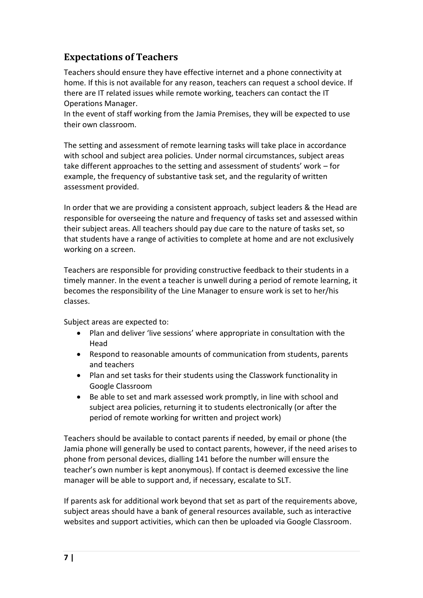## **Expectations of Teachers**

Teachers should ensure they have effective internet and a phone connectivity at home. If this is not available for any reason, teachers can request a school device. If there are IT related issues while remote working, teachers can contact the IT Operations Manager.

In the event of staff working from the Jamia Premises, they will be expected to use their own classroom.

The setting and assessment of remote learning tasks will take place in accordance with school and subject area policies. Under normal circumstances, subject areas take different approaches to the setting and assessment of students' work – for example, the frequency of substantive task set, and the regularity of written assessment provided.

In order that we are providing a consistent approach, subject leaders & the Head are responsible for overseeing the nature and frequency of tasks set and assessed within their subject areas. All teachers should pay due care to the nature of tasks set, so that students have a range of activities to complete at home and are not exclusively working on a screen.

Teachers are responsible for providing constructive feedback to their students in a timely manner. In the event a teacher is unwell during a period of remote learning, it becomes the responsibility of the Line Manager to ensure work is set to her/his classes.

Subject areas are expected to:

- Plan and deliver 'live sessions' where appropriate in consultation with the Head
- Respond to reasonable amounts of communication from students, parents and teachers
- Plan and set tasks for their students using the Classwork functionality in Google Classroom
- Be able to set and mark assessed work promptly, in line with school and subject area policies, returning it to students electronically (or after the period of remote working for written and project work)

Teachers should be available to contact parents if needed, by email or phone (the Jamia phone will generally be used to contact parents, however, if the need arises to phone from personal devices, dialling 141 before the number will ensure the teacher's own number is kept anonymous). If contact is deemed excessive the line manager will be able to support and, if necessary, escalate to SLT.

If parents ask for additional work beyond that set as part of the requirements above, subject areas should have a bank of general resources available, such as interactive websites and support activities, which can then be uploaded via Google Classroom.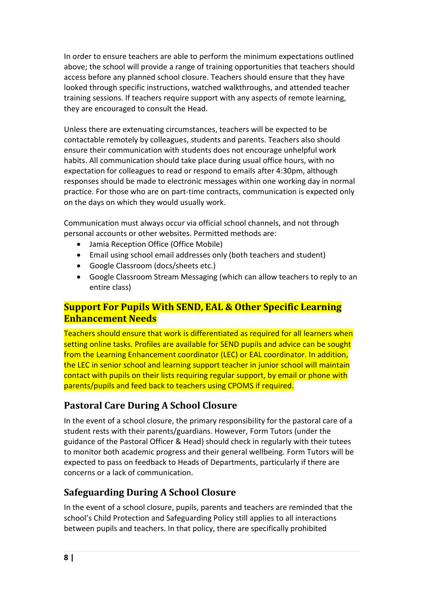In order to ensure teachers are able to perform the minimum expectations outlined above; the school will provide a range of training opportunities that teachers should access before any planned school closure. Teachers should ensure that they have looked through specific instructions, watched walkthroughs, and attended teacher training sessions. If teachers require support with any aspects of remote learning, they are encouraged to consult the Head.

Unless there are extenuating circumstances, teachers will be expected to be contactable remotely by colleagues, students and parents. Teachers also should ensure their communication with students does not encourage unhelpful work habits. All communication should take place during usual office hours, with no expectation for colleagues to read or respond to emails after 4:30pm, although responses should be made to electronic messages within one working day in normal practice. For those who are on part-time contracts, communication is expected only on the days on which they would usually work.

Communication must always occur via official school channels, and not through personal accounts or other websites. Permitted methods are:

- Jamia Reception Office (Office Mobile)
- Email using school email addresses only (both teachers and student)
- Google Classroom (docs/sheets etc.)
- Google Classroom Stream Messaging (which can allow teachers to reply to an entire class)

## **Support For Pupils With SEND, EAL & Other Specific Learning Enhancement Needs**

Teachers should ensure that work is differentiated as required for all learners when setting online tasks. Profiles are available for SEND pupils and advice can be sought from the Learning Enhancement coordinator (LEC) or EAL coordinator. In addition, the LEC in senior school and learning support teacher in junior school will maintain contact with pupils on their lists requiring regular support, by email or phone with parents/pupils and feed back to teachers using CPOMS if required.

## **Pastoral Care During A School Closure**

In the event of a school closure, the primary responsibility for the pastoral care of a student rests with their parents/guardians. However, Form Tutors (under the guidance of the Pastoral Officer & Head) should check in regularly with their tutees to monitor both academic progress and their general wellbeing. Form Tutors will be expected to pass on feedback to Heads of Departments, particularly if there are concerns or a lack of communication.

## **Safeguarding During A School Closure**

In the event of a school closure, pupils, parents and teachers are reminded that the school's Child Protection and Safeguarding Policy still applies to all interactions between pupils and teachers. In that policy, there are specifically prohibited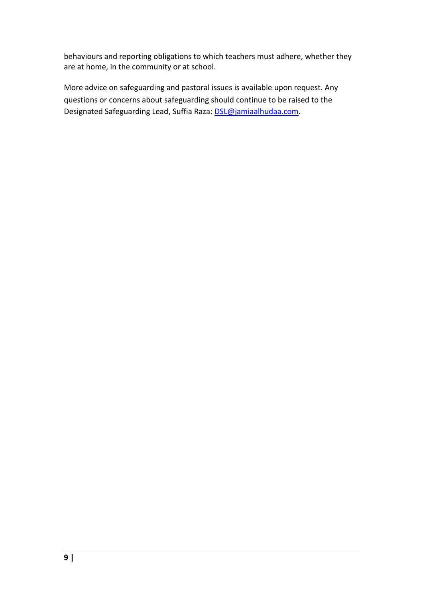behaviours and reporting obligations to which teachers must adhere, whether they are at home, in the community or at school.

More advice on safeguarding and pastoral issues is available upon request. Any questions or concerns about safeguarding should continue to be raised to the Designated Safeguarding Lead, Suffia Raza: [DSL@jamiaalhudaa.com.](mailto:DSL@jamiaalhudaa.com)